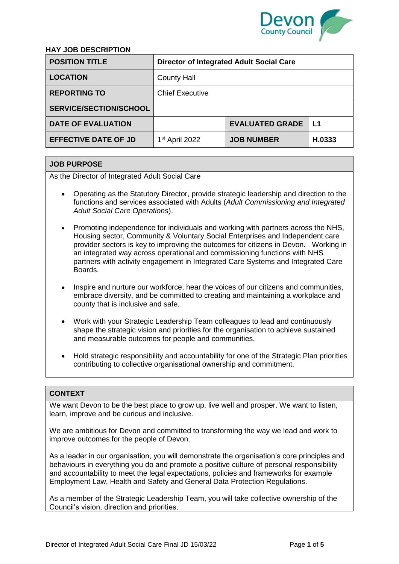

# **HAY JOB DESCRIPTION**

| <b>POSITION TITLE</b>         | <b>Director of Integrated Adult Social Care</b> |                        |        |  |
|-------------------------------|-------------------------------------------------|------------------------|--------|--|
| <b>LOCATION</b>               | <b>County Hall</b>                              |                        |        |  |
| <b>REPORTING TO</b>           | <b>Chief Executive</b>                          |                        |        |  |
| <b>SERVICE/SECTION/SCHOOL</b> |                                                 |                        |        |  |
| <b>DATE OF EVALUATION</b>     |                                                 | <b>EVALUATED GRADE</b> | L1     |  |
| <b>EFFECTIVE DATE OF JD</b>   | $1st$ April 2022                                | <b>JOB NUMBER</b>      | H.0333 |  |

# **JOB PURPOSE**

As the Director of Integrated Adult Social Care

- Operating as the Statutory Director, provide strategic leadership and direction to the functions and services associated with Adults (*Adult Commissioning and Integrated Adult Social Care Operations*).
- Promoting independence for individuals and working with partners across the NHS, Housing sector, Community & Voluntary Social Enterprises and Independent care provider sectors is key to improving the outcomes for citizens in Devon. Working in an integrated way across operational and commissioning functions with NHS partners with activity engagement in Integrated Care Systems and Integrated Care Boards.
- Inspire and nurture our workforce, hear the voices of our citizens and communities, embrace diversity, and be committed to creating and maintaining a workplace and county that is inclusive and safe.
- Work with your Strategic Leadership Team colleagues to lead and continuously shape the strategic vision and priorities for the organisation to achieve sustained and measurable outcomes for people and communities.
- Hold strategic responsibility and accountability for one of the Strategic Plan priorities contributing to collective organisational ownership and commitment.

## **CONTEXT**

We want Devon to be the best place to grow up, live well and prosper. We want to listen, learn, improve and be curious and inclusive.

We are ambitious for Devon and committed to transforming the way we lead and work to improve outcomes for the people of Devon.

As a leader in our organisation, you will demonstrate the organisation's core principles and behaviours in everything you do and promote a positive culture of personal responsibility and accountability to meet the legal expectations, policies and frameworks for example Employment Law, Health and Safety and General Data Protection Regulations.

As a member of the Strategic Leadership Team, you will take collective ownership of the Council's vision, direction and priorities.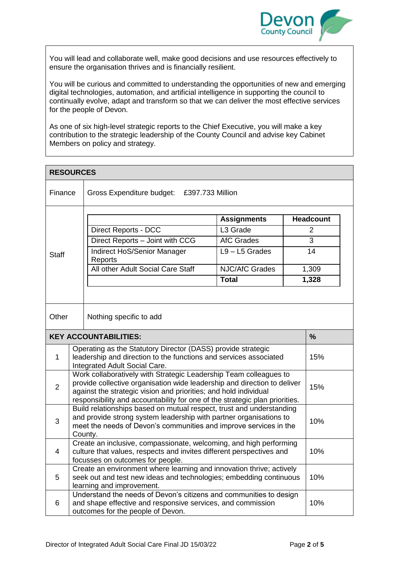

You will lead and collaborate well, make good decisions and use resources effectively to ensure the organisation thrives and is financially resilient.

You will be curious and committed to understanding the opportunities of new and emerging digital technologies, automation, and artificial intelligence in supporting the council to continually evolve, adapt and transform so that we can deliver the most effective services for the people of Devon.

As one of six high-level strategic reports to the Chief Executive, you will make a key contribution to the strategic leadership of the County Council and advise key Cabinet Members on policy and strategy.

| <b>RESOURCES</b>             |                                                                                                                                                                                                                                                                                                         |                                                                                                                                                                                                                            |                                            |                                    |  |  |
|------------------------------|---------------------------------------------------------------------------------------------------------------------------------------------------------------------------------------------------------------------------------------------------------------------------------------------------------|----------------------------------------------------------------------------------------------------------------------------------------------------------------------------------------------------------------------------|--------------------------------------------|------------------------------------|--|--|
| Finance                      |                                                                                                                                                                                                                                                                                                         | Gross Expenditure budget:<br>£397.733 Million                                                                                                                                                                              |                                            |                                    |  |  |
|                              |                                                                                                                                                                                                                                                                                                         |                                                                                                                                                                                                                            | <b>Assignments</b><br>L <sub>3</sub> Grade | <b>Headcount</b><br>$\overline{2}$ |  |  |
|                              |                                                                                                                                                                                                                                                                                                         | <b>Direct Reports - DCC</b>                                                                                                                                                                                                |                                            | 3                                  |  |  |
| <b>Staff</b>                 |                                                                                                                                                                                                                                                                                                         | <b>AfC Grades</b><br>Direct Reports - Joint with CCG                                                                                                                                                                       |                                            |                                    |  |  |
|                              |                                                                                                                                                                                                                                                                                                         | Indirect HoS/Senior Manager<br>Reports                                                                                                                                                                                     | $L9 - L5$ Grades                           | 14                                 |  |  |
|                              |                                                                                                                                                                                                                                                                                                         | All other Adult Social Care Staff                                                                                                                                                                                          | <b>NJC/AfC Grades</b>                      | 1,309                              |  |  |
|                              |                                                                                                                                                                                                                                                                                                         |                                                                                                                                                                                                                            | <b>Total</b>                               | 1,328                              |  |  |
| Other                        | Nothing specific to add                                                                                                                                                                                                                                                                                 |                                                                                                                                                                                                                            |                                            |                                    |  |  |
| <b>KEY ACCOUNTABILITIES:</b> |                                                                                                                                                                                                                                                                                                         |                                                                                                                                                                                                                            |                                            | $\frac{9}{6}$                      |  |  |
| $\mathbf{1}$                 | Operating as the Statutory Director (DASS) provide strategic<br>leadership and direction to the functions and services associated<br>Integrated Adult Social Care.                                                                                                                                      |                                                                                                                                                                                                                            |                                            | 15%                                |  |  |
| 2                            | Work collaboratively with Strategic Leadership Team colleagues to<br>provide collective organisation wide leadership and direction to deliver<br>15%<br>against the strategic vision and priorities; and hold individual<br>responsibility and accountability for one of the strategic plan priorities. |                                                                                                                                                                                                                            |                                            |                                    |  |  |
| 3                            |                                                                                                                                                                                                                                                                                                         | Build relationships based on mutual respect, trust and understanding<br>and provide strong system leadership with partner organisations to<br>meet the needs of Devon's communities and improve services in the<br>County. |                                            |                                    |  |  |
| 4                            |                                                                                                                                                                                                                                                                                                         | Create an inclusive, compassionate, welcoming, and high performing<br>culture that values, respects and invites different perspectives and<br>focusses on outcomes for people.                                             |                                            |                                    |  |  |
| 5                            | Create an environment where learning and innovation thrive; actively<br>seek out and test new ideas and technologies; embedding continuous<br>learning and improvement.                                                                                                                                 |                                                                                                                                                                                                                            |                                            | 10%                                |  |  |
| 6                            |                                                                                                                                                                                                                                                                                                         | Understand the needs of Devon's citizens and communities to design<br>and shape effective and responsive services, and commission<br>outcomes for the people of Devon.                                                     |                                            |                                    |  |  |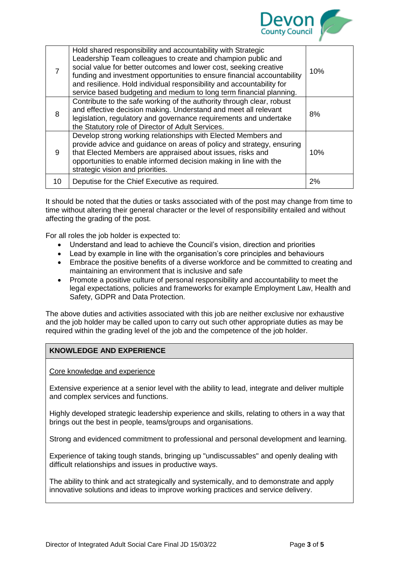

| 7  | Hold shared responsibility and accountability with Strategic<br>Leadership Team colleagues to create and champion public and<br>social value for better outcomes and lower cost, seeking creative<br>funding and investment opportunities to ensure financial accountability<br>and resilience. Hold individual responsibility and accountability for<br>service based budgeting and medium to long term financial planning. | 10% |
|----|------------------------------------------------------------------------------------------------------------------------------------------------------------------------------------------------------------------------------------------------------------------------------------------------------------------------------------------------------------------------------------------------------------------------------|-----|
| 8  | Contribute to the safe working of the authority through clear, robust<br>and effective decision making. Understand and meet all relevant<br>legislation, regulatory and governance requirements and undertake<br>the Statutory role of Director of Adult Services.                                                                                                                                                           | 8%  |
| 9  | Develop strong working relationships with Elected Members and<br>provide advice and guidance on areas of policy and strategy, ensuring<br>that Elected Members are appraised about issues, risks and<br>opportunities to enable informed decision making in line with the<br>strategic vision and priorities.                                                                                                                | 10% |
| 10 | Deputise for the Chief Executive as required.                                                                                                                                                                                                                                                                                                                                                                                | 2%  |

It should be noted that the duties or tasks associated with of the post may change from time to time without altering their general character or the level of responsibility entailed and without affecting the grading of the post.

For all roles the job holder is expected to:

- Understand and lead to achieve the Council's vision, direction and priorities
- Lead by example in line with the organisation's core principles and behaviours
- Embrace the positive benefits of a diverse workforce and be committed to creating and maintaining an environment that is inclusive and safe
- Promote a positive culture of personal responsibility and accountability to meet the legal expectations, policies and frameworks for example Employment Law, Health and Safety, GDPR and Data Protection.

The above duties and activities associated with this job are neither exclusive nor exhaustive and the job holder may be called upon to carry out such other appropriate duties as may be required within the grading level of the job and the competence of the job holder.

## **KNOWLEDGE AND EXPERIENCE**

Core knowledge and experience

Extensive experience at a senior level with the ability to lead, integrate and deliver multiple and complex services and functions.

Highly developed strategic leadership experience and skills, relating to others in a way that brings out the best in people, teams/groups and organisations.

Strong and evidenced commitment to professional and personal development and learning.

Experience of taking tough stands, bringing up "undiscussables" and openly dealing with difficult relationships and issues in productive ways.

The ability to think and act strategically and systemically, and to demonstrate and apply innovative solutions and ideas to improve working practices and service delivery.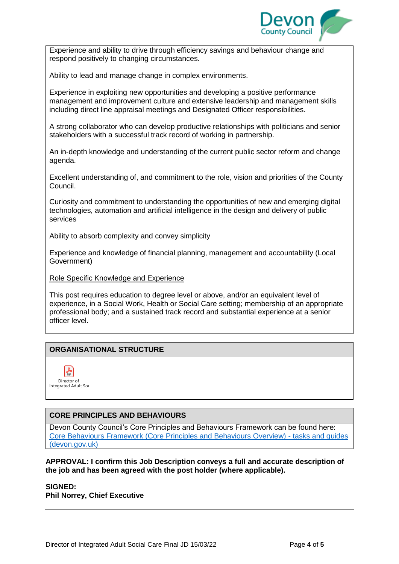

Experience and ability to drive through efficiency savings and behaviour change and respond positively to changing circumstances.

Ability to lead and manage change in complex environments.

Experience in exploiting new opportunities and developing a positive performance management and improvement culture and extensive leadership and management skills including direct line appraisal meetings and Designated Officer responsibilities.

A strong collaborator who can develop productive relationships with politicians and senior stakeholders with a successful track record of working in partnership.

An in-depth knowledge and understanding of the current public sector reform and change agenda.

Excellent understanding of, and commitment to the role, vision and priorities of the County Council.

Curiosity and commitment to understanding the opportunities of new and emerging digital technologies, automation and artificial intelligence in the design and delivery of public services

Ability to absorb complexity and convey simplicity

Experience and knowledge of financial planning, management and accountability (Local Government)

Role Specific Knowledge and Experience

This post requires education to degree level or above, and/or an equivalent level of experience, in a Social Work, Health or Social Care setting; membership of an appropriate professional body; and a sustained track record and substantial experience at a senior officer level.

## **ORGANISATIONAL STRUCTURE**



## **CORE PRINCIPLES AND BEHAVIOURS**

Devon County Council's Core Principles and Behaviours Framework can be found here: [Core Behaviours Framework \(Core Principles and Behaviours Overview\) -](https://eur02.safelinks.protection.outlook.com/?url=https%3A%2F%2Finside.devon.gov.uk%2Ftask%2Fcore-principles-and-behaviours%2Four-principles-and-behaviours-framework%2F&data=04%7C01%7Csally.c.chapman%40devon.gov.uk%7C862b42c52ebf4b01525b08d9e6324d01%7C8da13783cb68443fbb4b997f77fd5bfb%7C0%7C0%7C637793925973322031%7CUnknown%7CTWFpbGZsb3d8eyJWIjoiMC4wLjAwMDAiLCJQIjoiV2luMzIiLCJBTiI6Ik1haWwiLCJXVCI6Mn0%3D%7C3000&sdata=UQMK3gCy1GYhkl53EWZ6KOFffHKsWVlW2aBakfWSpgk%3D&reserved=0) tasks and guides [\(devon.gov.uk\)](https://eur02.safelinks.protection.outlook.com/?url=https%3A%2F%2Finside.devon.gov.uk%2Ftask%2Fcore-principles-and-behaviours%2Four-principles-and-behaviours-framework%2F&data=04%7C01%7Csally.c.chapman%40devon.gov.uk%7C862b42c52ebf4b01525b08d9e6324d01%7C8da13783cb68443fbb4b997f77fd5bfb%7C0%7C0%7C637793925973322031%7CUnknown%7CTWFpbGZsb3d8eyJWIjoiMC4wLjAwMDAiLCJQIjoiV2luMzIiLCJBTiI6Ik1haWwiLCJXVCI6Mn0%3D%7C3000&sdata=UQMK3gCy1GYhkl53EWZ6KOFffHKsWVlW2aBakfWSpgk%3D&reserved=0)

#### **APPROVAL: I confirm this Job Description conveys a full and accurate description of the job and has been agreed with the post holder (where applicable).**

#### **SIGNED: Phil Norrey, Chief Executive**